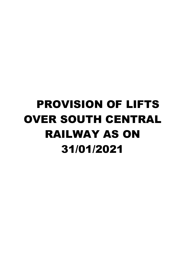## PROVISION OF LIFTS OVER SOUTH CENTRAL RAILWAY AS ON 31/01/2021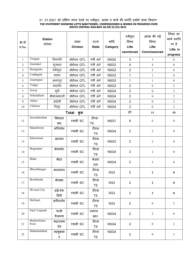## 31. 01.2021 को दक्षिण मध्य रेलवे पर स्वीकृत, आरंभ व कार्य की प्रगति दशोने वाला विवरण THE STATEMENT SHOWING LIFTS SANCTIONED, COMMISSIONED & WORKS IN PROGRESS OVER SOUTH CENTRAL RAILWAY AS ON 31/01/2021

| <b>Station</b><br>क्र.सं<br>स्टेशन |                      |                 |                     |                       |                  | स्वीकृत        | आरंभ की गई       | लिफ्ट का<br>कार्य प्रगति |
|------------------------------------|----------------------|-----------------|---------------------|-----------------------|------------------|----------------|------------------|--------------------------|
|                                    |                      |                 | मंडल                | राज्य<br><b>State</b> | कोटि<br>Category | लिफ्ट          | लिफ्ट            | पर है                    |
| S.No.                              |                      |                 | <b>Division</b>     |                       |                  | Lifts          | Lifts            | Lifts in                 |
|                                    |                      |                 |                     |                       | sanctioned       | Commissioned   | progress         |                          |
| $\mathbf{1}$                       | Tirupati             | तिरुपति         | जीटीएल GTL          | एपी AP                | NSG <sub>2</sub> | $\mathfrak{S}$ | $\overline{3}$   | $\boldsymbol{0}$         |
| $\overline{2}$                     | Guntakal             | गृंतकल          | जीटीएल GTL          | एपी AP                | NSG3             | $\overline{4}$ | $\overline{4}$   | $\overline{0}$           |
| $\overline{3}$                     | Renigunta            | रेनीगुंटा       | जीटीएल GTL          | एपी AP                | NSG3             | $\overline{2}$ | $\overline{2}$   | $\overline{0}$           |
| 4                                  | Cuddapah             | कडपा            | जीटीएल GTL          | एपी AP                | NSG3             | $\mathbf{1}$   | $\mathbf{1}$     | $\boldsymbol{0}$         |
| 5                                  | Anantapur            | अनंतपूर         | जीटीएल GTL          | एपी AP                | NSG3             | $\mathbf{1}$   | $\mathbf{1}$     | $\boldsymbol{0}$         |
| 6                                  | Yadgir               | यादगीर          | जीटीएल GTL          | एपी AP                | NSG3             | $\overline{2}$ | $\mathbf{0}$     | $\overline{2}$           |
| $\overline{7}$                     | Gooty                | गूती            | जीटीएल GTL          | एपी AP                | NSG4             | $\overline{2}$ | $\boldsymbol{0}$ | $\overline{c}$           |
| 8                                  | Srikalahasti         | श्रीकालाहरूती   | जीटीएल GTL          | एपी AP                | NSG4             | $\overline{2}$ | $\boldsymbol{0}$ | $\overline{2}$           |
| 9                                  | Adoni                | अदोनी           | जीटीएल GTL          | एपी AP                | NSG4             | $\overline{2}$ | $\boldsymbol{0}$ | $\overline{2}$           |
| 10                                 | Chittoor             | चित्तूर         | जीटीएल GTL          | एपी AP                | NSG4             | $\overline{2}$ | $\boldsymbol{0}$ | $\overline{2}$           |
|                                    |                      |                 | <b>Total</b><br>कुल |                       |                  | 21             | 11               | 10                       |
| 11                                 | Secunderabad         | सिकंदरा         | एससी SC             | टीएस                  | NSG1             | $\,6\,$        | 6                | $\boldsymbol{0}$         |
|                                    |                      | बाद             |                     | <b>TS</b>             |                  |                |                  |                          |
| 12                                 | Manchiryal           | मंचिर्याल       | एससी SC             | टीएस<br><b>TS</b>     | NSG4             | $\overline{2}$ | $\sqrt{2}$       | $\boldsymbol{0}$         |
| 13                                 | Khammam              | खम्मम           | एससी SC             | टीएस<br><b>TS</b>     | NSG3             | $\overline{2}$ | $\sqrt{2}$       | $\boldsymbol{0}$         |
| 14                                 | Begumpet             | बेगमपेट         | एससी SC             | टीएस<br><b>TS</b>     | NSG4             | $\overline{2}$ | $\overline{c}$   | $\mathbf{0}$             |
| 15                                 | Bidar                | बीदर            | एससी SC             | केआर<br><b>KR</b>     | NSG4             | $\overline{2}$ | $\sqrt{2}$       | $\boldsymbol{0}$         |
| 16                                 | Bharathnagar         | भरतनगर          | एससी SC             | टीएस<br><b>TS</b>     | SG <sub>3</sub>  | $\overline{2}$ | $\overline{2}$   | $\bf{0}$                 |
| 17                                 | Borabanda            | बोरबंडा         | एससी SC             | टीएस<br><b>TS</b>     | SG <sub>3</sub>  | $\overline{2}$ | $\mathbf{2}$     | $\bf{0}$                 |
| 18                                 | Hi-tech City         | हाई-टेक<br>सिटी | एससी SC             | टीएस<br><b>TS</b>     | SG <sub>3</sub>  | $\overline{2}$ | $\mathbf{2}$     | $\bf{0}$                 |
| 19                                 | Hafizpet             | हाफ़िज़पेट      | एससी SC             | टीएस<br><b>TS</b>     | SG <sub>3</sub>  | $\overline{2}$ | $\boldsymbol{0}$ | $\overline{2}$           |
| 20                                 | Parli Vaijnath       | परली<br>वैजनाथ  | एससी SC             | एमएच<br>МH            | NSG4             | $\overline{2}$ | $\overline{2}$   | $\boldsymbol{0}$         |
| 21                                 | Bhadrachalam<br>Road | भद्राचलम<br>रोड | एससी SC             | टीएस<br><b>TS</b>     | NSG4             | $\overline{2}$ | $\boldsymbol{0}$ | $\overline{2}$           |
| 22                                 | Mahabubabad          | महबुबाबा<br>द   | एससी SC             | टीएस<br><b>TS</b>     | NSG4             | $\overline{2}$ | $\boldsymbol{0}$ | $\overline{2}$           |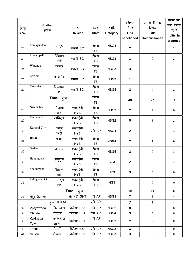| क्र.सं<br>S.No. | <b>Station</b><br>स्टेशन |                     | मंडल<br><b>Division</b> | राज्य<br><b>State</b> | कोटि<br>Category | स्वीकृत<br>लिफ्ट<br>Lifts<br>sanctioned | आरंभ की गई<br>लिफ्ट<br><b>Lifts</b><br>Commissioned | लिफ्ट का<br>कार्य प्रगति<br>पर है<br>Lifts in<br>progress |
|-----------------|--------------------------|---------------------|-------------------------|-----------------------|------------------|-----------------------------------------|-----------------------------------------------------|-----------------------------------------------------------|
| 23              | Ramagundam               | रामगुंडम            | एससी SC                 | टीएस<br><b>TS</b>     | NSG4             | $\overline{2}$                          | $\boldsymbol{0}$                                    | $\overline{2}$                                            |
| 24              | Lingampalli              | लिंगमप<br>ल्ली      | एससी SC                 | टीएस<br><b>TS</b>     | NSG3             | 3                                       | $\boldsymbol{0}$                                    | $\overline{2}$                                            |
| 25              | Warangal                 | वरंगल               | एससी SC                 | टीएस<br><b>TS</b>     | NSG3             | 3                                       | $\boldsymbol{0}$                                    | $\overline{3}$                                            |
| 26              | Kazipet                  | काजीपेट             | एससी SC                 | टीएस<br><b>TS</b>     | NSG3             | 1                                       | $\boldsymbol{0}$                                    | $\mathbf{1}$                                              |
| 27              | Vikarabad                | विकाराबा<br>द       | एससी SC                 | टीएस<br><b>TS</b>     | NSG4             | $\overline{2}$                          | $\boldsymbol{0}$                                    | $\overline{2}$                                            |
|                 | Total कुल                |                     |                         | टीएस<br><b>TS</b>     |                  | 39                                      | 22                                                  | 16                                                        |
| 28              | Nizamabad                | निजामा<br>बाद       | एचवाईबी<br><b>HYB</b>   | टीएस<br><b>TS</b>     | NSG3             | $\overline{2}$                          | $\overline{2}$                                      | $\boldsymbol{0}$                                          |
| 29              | Kacheguda                | काचिगुड़ा           | एचवाईबी<br><b>HYB</b>   | टीएस<br><b>TS</b>     | NSG <sub>2</sub> | 5                                       | 3                                                   | $\overline{2}$                                            |
| 30              | Kurnool City             | कर्नूल<br>सिटी      | एचवाईबी<br><b>HYB</b>   | एपी AP                | NSG4             | $\overline{2}$                          | $\boldsymbol{0}$                                    | $\overline{2}$                                            |
| 31              | <b>Basar</b>             | बासर                | एचवाईबी<br><b>HYB</b>   | टीएस<br><b>TS</b>     | NSG4             | $\mathbf{2}$                            | $\mathbf{2}$                                        | $\bf{0}$                                                  |
| 32              | Gadwal                   | गदवाल               | एचवाईबी<br><b>HYB</b>   | टीएस<br><b>TS</b>     | NSG5             | $\overline{2}$                          | $\boldsymbol{0}$                                    | $\sqrt{2}$                                                |
| 33              | Huppuguda                | हुप्पुगुड़ा         | एचवाईबी<br><b>HYB</b>   | टीएस<br><b>TS</b>     | SG <sub>3</sub>  | $\overline{2}$                          | $\boldsymbol{0}$                                    | $\overline{2}$                                            |
| 34              | Sitafalmandi             | सीताफल<br>मंडी      | एचवाईबी<br><b>HYB</b>   | टीएस<br><b>TS</b>     | SG <sub>3</sub>  | 3                                       | 3                                                   | $\boldsymbol{0}$                                          |
| 35              | Lallaguda Gate           | लालगुड़ा<br>गेट     | एचवाईबी<br><b>HYB</b>   | टीएस<br><b>TS</b>     | HG3              | 1                                       | $\boldsymbol{0}$                                    | $\boldsymbol{0}$                                          |
|                 |                          | <b>Total</b><br>कुल |                         |                       | 19               | 10                                      | $\bf{8}$                                            |                                                           |
| 36              | गूंटूर Guntur            |                     | जीएनटी GNT              | एपी AP                | NSG3             | $\overline{7}$                          | $\overline{3}$                                      | $\overline{4}$                                            |
|                 | कुल TOTAL                |                     | एपी AP                  |                       | $\overline{7}$   | $\overline{\mathbf{3}}$                 | $\overline{\mathbf{4}}$                             |                                                           |
| 37              | Vijayawada               | विजयवाड़ा           | बीजेडए BZA              | एपी AP                | NSG <sub>2</sub> | 8                                       | $8\,$                                               | $\boldsymbol{0}$                                          |
| 38              | Chirala                  | चिराला              | बीजेडए BZA              | एपी AP                | NSG4             | 3                                       | $\overline{3}$                                      | $\boldsymbol{0}$                                          |
| 39              | Kakinada<br>Town         | काकीनाडा<br>टाउन    | बीजेडए BZA              | एपी AP                | NSG3             | $\overline{2}$                          | $\overline{2}$                                      | $\boldsymbol{0}$                                          |
| 40              | Tenali                   | तेनाली              | बीजेडए BZA              | एपी AP                | NSG3             | 3                                       | $\overline{3}$                                      | $\boldsymbol{0}$                                          |
| 41              | Nellore                  | नेल्लोर             | बीजेडए BZA              | एपी AP                | NSG3             | 3                                       | $\overline{\mathbf{3}}$                             | $\boldsymbol{0}$                                          |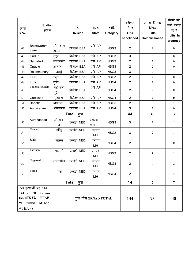| क्र.सं<br>S.No.                                                                                       | <b>Station</b><br>स्टेशन |                    | मंडल<br><b>Division</b> | राज्य<br><b>State</b> | कोटि<br>Category | स्वीकृत<br>लिफ्ट<br>Lifts<br>sanctioned | आरंभ की गई<br>लिफ्ट<br><b>Lifts</b><br>Commissioned | लिफ्ट का<br>कार्य प्रगति<br>पर है<br>Lifts in<br>progress |
|-------------------------------------------------------------------------------------------------------|--------------------------|--------------------|-------------------------|-----------------------|------------------|-----------------------------------------|-----------------------------------------------------|-----------------------------------------------------------|
| 42                                                                                                    | Bhimavaram<br>Town       | भीमावरम<br>टाउन    | बीजेडए BZA              | एपी AP                | NSG3             | $\overline{2}$                          | $\overline{c}$                                      | $\mathbf{0}$                                              |
| 43                                                                                                    | Gudur                    | गुडूर              | बीजेडए BZA              | एपी AP                | NSG3             | 3                                       | $\overline{3}$                                      | $\mathbf{0}$                                              |
| 44                                                                                                    | Samalkot                 | समालकोट            | बीजेडए BZA              | एपी AP                | NSG3             | $\overline{2}$                          | $\overline{2}$                                      | $\mathbf{0}$                                              |
| 45                                                                                                    | Ongole                   | ओंगोल              | बीजेडए BZA              | एपी AP                | NSG3             | $\overline{2}$                          | $\overline{2}$                                      | $\boldsymbol{0}$                                          |
| 46                                                                                                    | Rajahmundry              | राजमंड़ी           | बीजेडए BZA              | एपी AP                | NSG3             | 3                                       | $\overline{2}$                                      | $\mathbf{1}$                                              |
| 47                                                                                                    | Eluru                    | एलुरु              | बीजेडए BZA              | एपी AP                | NSG3             | $\overline{2}$                          | $\overline{2}$                                      | $\boldsymbol{0}$                                          |
| 48                                                                                                    | Tuni                     | तुनि               | बीजेडए BZA              | एपी AP                | NSG4             | $\overline{2}$                          | $\overline{2}$                                      | $\boldsymbol{0}$                                          |
| 49                                                                                                    | Tadepalligudem           | ताडेपल्ली<br>ग्डेम | बीजेडए BZA              | एपी AP                | NSG4             | $\overline{2}$                          | $\overline{c}$                                      | $\boldsymbol{0}$                                          |
| 50                                                                                                    | Gudivada                 | गुडिवाडा           | बीजेडए BZA              | एपी AP                | NSG4             | $\overline{2}$                          | $\overline{2}$                                      | $\bf{0}$                                                  |
| 51                                                                                                    | Bapatla                  | बापट्ला            | बीजेडए BZA              | एपी AP                | NSG5             | $\overline{2}$                          | $\boldsymbol{0}$                                    | $\overline{2}$                                            |
| 52                                                                                                    | Annavaram                | अन्नवरम            | बीजेडए BZA              | एपी AP                | NSG4             | 3                                       | $\overline{2}$                                      | $\mathbf{0}$                                              |
|                                                                                                       |                          |                    | <b>Total</b><br>कुल     |                       |                  | 44                                      | 40                                                  | $\overline{\mathbf{3}}$                                   |
| 53                                                                                                    | Aurangabad               | औरंगाबा<br>द       | एनईडी NED               | एमएच<br><b>MH</b>     | NSG3             | 3                                       | $\overline{c}$                                      | $\mathbf{1}$                                              |
| 54                                                                                                    | Nanded                   | नांदेड़            | एनईडी NED               | एमएच<br>MH            | NSG <sub>2</sub> | 3                                       | $\overline{c}$                                      | $\mathbf{1}$                                              |
| 55                                                                                                    | Jalna                    | जलना               | एनईडी NED               | एमएच<br>MН            | NSG4             | $\overline{2}$                          | $\overline{c}$                                      | $\boldsymbol{0}$                                          |
| 56                                                                                                    | Parbhani                 | परभनी              | एनईडी NED               | एमएच<br>MH            | NSG3             | $\overline{2}$                          | 1                                                   | 1                                                         |
| 57                                                                                                    | Nagarsol                 | नागरसोल            | एनईडी NED               | एमएच<br>MН            | NSG3             | $\overline{2}$                          | $\boldsymbol{0}$                                    | $\overline{2}$                                            |
| 58                                                                                                    | Purna                    | पूर्णा             | एनईडी NED               | एमएच<br>MН            | NSG4             | $\overline{2}$                          | $\boldsymbol{0}$                                    | $\overline{2}$                                            |
|                                                                                                       | <b>Total</b><br>कुल      |                    |                         |                       |                  | 14                                      | $\overline{7}$                                      | $7\phantom{.}$                                            |
| 58 स्टेशनों पर 144,<br>144 at 58 Stations<br>एपीAP-<br>(टीएसTS-52,<br>72, एमएच<br>MH-16,<br>केए KA-4) |                          |                    | कुल योग GRNAD TOTAL     |                       | 144              | 93                                      | 48                                                  |                                                           |